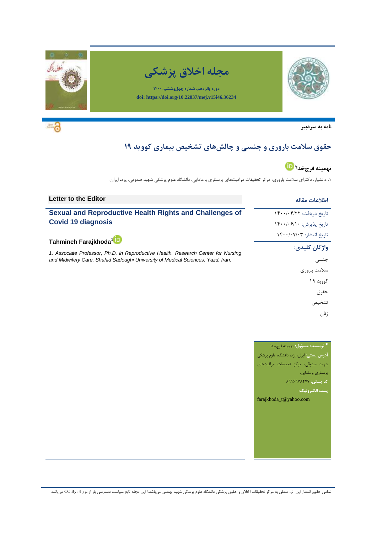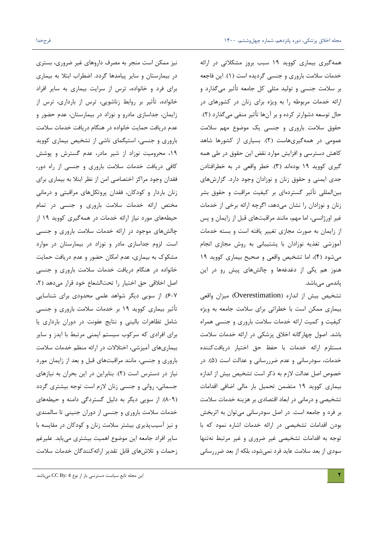همهگیری بیماری کووید ۱۹ سبب بروز مشکلاتی در ارائه خدمات سلامت باروری و جنسی گردیده است (١). این فاجعه بر سلامت جنسی و تولید مثلی کل جامعه تأثیر میگذارد و ارائه خدمات مربوطه را به ویژه برای زنان در کشورهای در حال توسعه دشوارتر کرده و بر آنها تأثیر منفی میگذارد (۲). حقوق سلامت باروری و جنسی یک موضوع مهم سلامت عمومی در همهگیریهاست (۲). بسیاری از کشورها شاهد کاهش دسترسی و افزایش موارد نقض این حقوق در طی همه گیری کووید ۱۹ بودهاند (۳). خطر واقعی در به خطرافتادن جدی ایمنی و حقوق زنان و نوزادان وجود دارد. گزارشهای بینالمللی تأثیر گستردهای بر کیفیت مراقبت و حقوق بشر زنان و نوزادان را نشان میدهد، اگرچِه ارائه برخی از خدمات غیر اورژانسی، اما مهم، مانند مراقبتهای قبل از زایمان و پس از زایمان به صورت مجازى تغییر یافته است و بسته خدمات آموزشی تغذیه نوزادان با پشتیبانی به روش مجازی انجام میشود (۴)، اما تشخیص واقعی و صحیح بیماری کووید ۱۹ هنوز هم یکی از دغدغهها و چالشهای پیش رو در این پاندمی میباشد.

تشخیص بیش از اندازه (Overestimation) میزان واقعی بیماری ممکن است با خطراتی برای سلامت جامعه به ویژه کیفیت و کمیت ارائه خدمات سلامت باروری و جنسی همراه باشد. اصول چهارگانه اخلاق پزشكى در ارائه خدمات سلامت مستلزم ارائه خدمات با حفظ حق اختیار دریافتکننده خدمات، سودرسانی و عدم ضرررسانی و عدالت است (۵). در خصوص اصل عدالت لازم به ذکر است تشخیص بیش از اندازه بیماری کووید ۱۹ متضمن تحمیل بار مالی اضافی اقدامات تشخیصی و درمانی در ابعاد اقتصادی بر هزینه خدمات سلامت بر فرد و جامعه است. در اصل سودرسانی میتوان به اثربخش بودن اقدامات تشخیصی در ارائه خدمات اشاره نمود که با توجه به اقدامات تشخیصی غیر ضروری و غیر مرتبط نهتنها سودی از بعد سلامت عاید فرد نمی شود، بلکه از بعد ضرررسانی

نیز ممکن است منجر به مصرف داروهای غیر ضروری، بستری در بیمارستان و سایر پیامدها گردد. اضطراب ابتلا به بیماری برای فرد و خانواده، ترس از سرایت بیماری به سایر افراد خانواده، تأثیر بر روابط زناشویی، ترس از بارداری، ترس از زایمان، جداسازى مادرو و نوزاد در بیمارستان، عدم حضور و عدم دریافت حمایت خانواده در هنگام دریافت خدمات سلامت باروری و جنسی، استیگمای ناشی از تشخیص بیماری کووید ۱۹، محرومیت نوزاد از شیر مادر، عدم گسترش و پوشش كافی دریافت خدمات سلامت باروری و جنسی از راه دور، فقدان وجود مراكز اختصاصی امن از نظر ابتلا به بیماری برای زنان باردار و کودکان، فقدان پروتکلهای مراقبتی و درمانی مختص ارائه خدمات سلامت باروری و جنسی در تمام حیطههای مورد نیاز ارائه خدمات در همهگیری کووید ۱۹ از چالشهای موجود در ارائه خدمات سلامت باروری و جنسی است. لزوم جداسازى مادر و نوزاد در بیمارستان در موارد مشکوک به بیماری، عدم امکان حضور و عدم دریافت حمایت خانواده در هنگام دریافت خدمات سلامت باروری و جنسی اصل اخلاقی حق اختیار را تحتالشعاع خود قرار می دهد (٢، 6-۲). از سویی دیگر شواهد علمی محدودی برای شناسایی تأثیر بیماری کووید ۱۹ بر خدمات سلامت باروری و جنسی شامل تظاهرات بالینی و نتایج عفونت در دوران بارداری یا برای افرادی که سرکوب سیستم ایمنی مرتبط با ایدز و سایر بیماریهای آمیزشی، اختلالات در ارائه منظم خدمات سلامت باروری و جنسی، مانند مراقبتهای قبل و بعد از زایمان مورد نیاز در دسترس است (٢). بنابراین در این بحران به نیازهای جسمانی، روانی و جنسی زنان لازم است توجه بیشتری گردد (A-۹). از سویی دیگر به دلیل گستردگی دامنه و حیطههای خدمات سلامت باروری و جنسی از دوران جنینی تا سالمندی و نیز آسیبپذیری بیشتر سلامت زنان و کودکان در مقایسه با سایر افراد جامعه این موضوع اهمیت بیشتری مییابد. علیرغم زحمات و تلاشهاى قابل تقدیر ارائه كنندگان خدمات سلامت

این مجله تابع سیاست دسترسی باز از نوع CC By: 4 میباشد.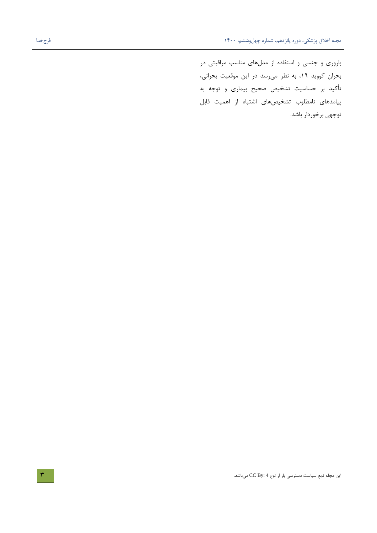باروری و جنسی و استفاده از مدلهای مناسب مراقبتی در بحران کووید ١٩، به نظر می رسد در این موقعیت بحرانی، تأكید بر حساسیت تشخیص صحیح بیماری و توجه به پیامدهای نامطلوب تشخیصهای اشتباه از اهمیت قابل توجهی برخوردار باشد.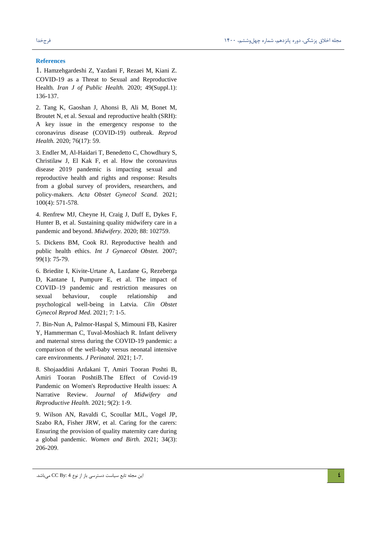#### **References**

1. Hamzehgardeshi Z, Yazdani F, Rezaei M, Kiani Z. COVID-19 as a Threat to Sexual and Reproductive Health. *Iran J of Public Health.* 2020; 49(Suppl.1): 136-137.

2. Tang K, Gaoshan J, Ahonsi B, Ali M, Bonet M, Broutet N, et al. Sexual and reproductive health (SRH): A key issue in the emergency response to the coronavirus disease (COVID-19) outbreak. *Reprod Health.* 2020; 76(17): 59.

3. Endler M, Al-Haidari T, Benedetto C, Chowdhury S, Christilaw J, El Kak F, et al. How the coronavirus disease 2019 pandemic is impacting sexual and reproductive health and rights and response: Results from a global survey of providers, researchers, and policy-makers. *Acta Obstet Gynecol Scand.* 2021; 100(4): 571-578.

4. Renfrew MJ, Cheyne H, Craig J, Duff E, Dykes F, Hunter B, et al. Sustaining quality midwifery care in a pandemic and beyond. *Midwifery.* 2020; 88: 102759.

5. Dickens BM, Cook RJ. Reproductive health and public health ethics. *Int J Gynaecol Obstet.* 2007; 99(1): 75-79.

6. Briedite I, Kivite-Urtane A, Lazdane G, Rezeberga D, Kantane I, Pumpure E, et al. The impact of COVID–19 pandemic and restriction measures on sexual behaviour, couple relationship and psychological well-being in Latvia. *Clin Obstet Gynecol Reprod Med.* 2021; 7: 1-5.

7. Bin-Nun A, Palmor-Haspal S, Mimouni FB, Kasirer Y, Hammerman C, Tuval-Moshiach R. Infant delivery and maternal stress during the COVID-19 pandemic: a comparison of the well-baby versus neonatal intensive care environments. *J Perinatol.* 2021; 1-7.

8. Shojaaddini Ardakani T, Amiri Tooran Poshti B, Amiri Tooran PoshtiB.The Effect of Covid-19 Pandemic on Women's Reproductive Health issues: A Narrative Review. *Journal of Midwifery and Reproductive Health.* 2021; 9(2): 1-9.

9. Wilson AN, Ravaldi C, Scoullar MJL, Vogel JP, Szabo RA, Fisher JRW, et al. Caring for the carers: Ensuring the provision of quality maternity care during a global pandemic. *Women and Birth.* 2021; 34(3): 206-209.